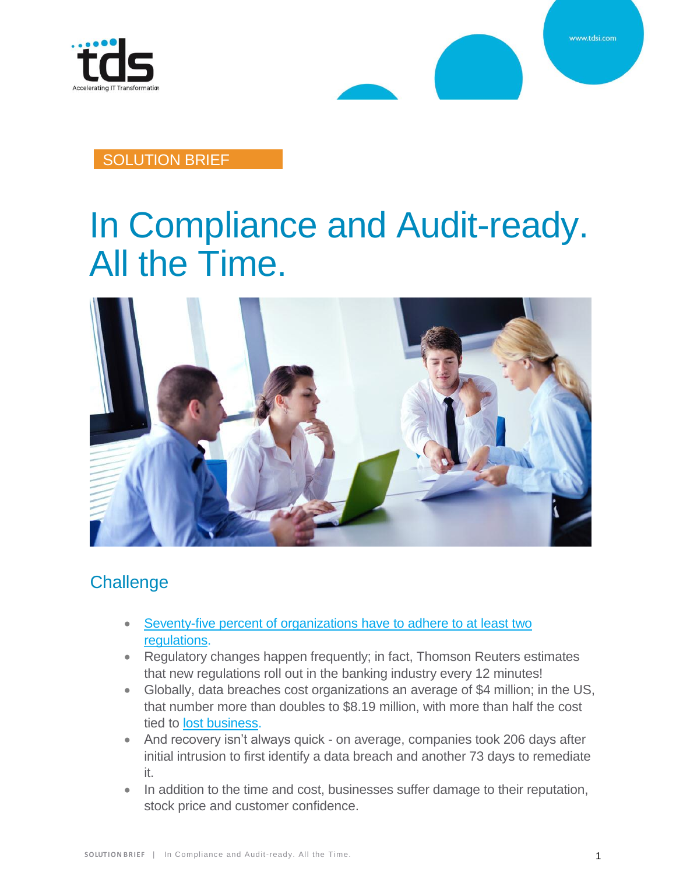

www.tdsi.com

#### SOLUTION BRIEF

# In Compliance and Audit-ready. All the Time.



## **Challenge**

- Seventy-five percent of organizations have to adhere to at least two [regulations.](https://www.box.com/thankyou/5-steps-to-good-governance)
- Regulatory changes happen frequently; in fact, Thomson Reuters estimates that new regulations roll out in the banking industry every 12 minutes!
- Globally, data breaches cost organizations an average of \$4 million; in the US, that number more than doubles to \$8.19 million, with more than half the cost tied to [lost business.](https://www.darkreading.com/attacks-breaches/with-data-breach-costs-time-is-money/d/d-id/1335336)
- And recovery isn't always quick on average, companies took 206 days after initial intrusion to first identify a data breach and another 73 days to remediate it.
- In addition to the time and cost, businesses suffer damage to their reputation, stock price and customer confidence.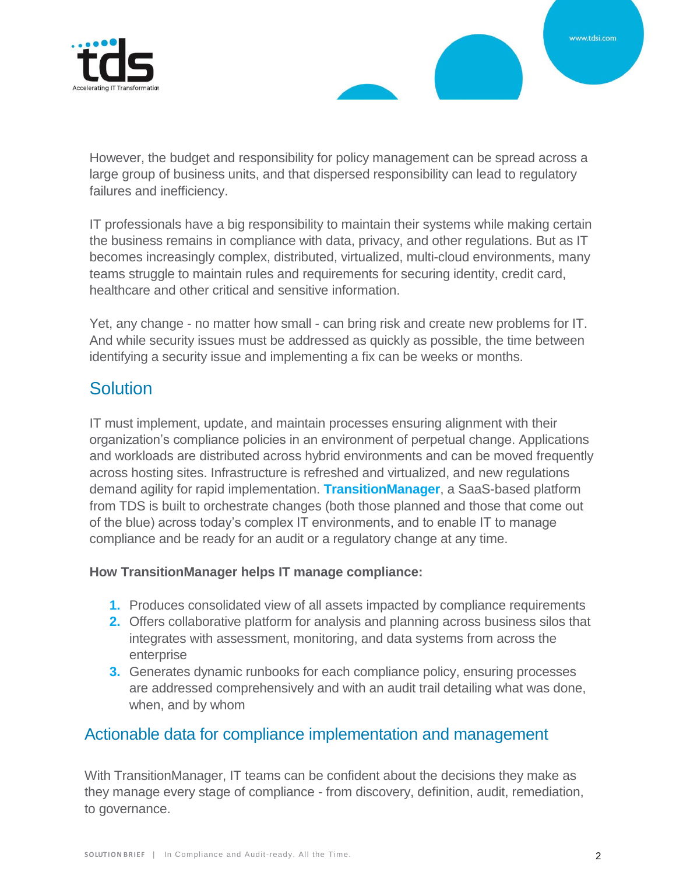



However, the budget and responsibility for policy management can be spread across a large group of business units, and that dispersed responsibility can lead to regulatory failures and inefficiency.

IT professionals have a big responsibility to maintain their systems while making certain the business remains in compliance with data, privacy, and other regulations. But as IT becomes increasingly complex, distributed, virtualized, multi-cloud environments, many teams struggle to maintain rules and requirements for securing identity, credit card, healthcare and other critical and sensitive information.

Yet, any change - no matter how small - can bring risk and create new problems for IT. And while security issues must be addressed as quickly as possible, the time between identifying a security issue and implementing a fix can be weeks or months.

## **Solution**

IT must implement, update, and maintain processes ensuring alignment with their organization's compliance policies in an environment of perpetual change. Applications and workloads are distributed across hybrid environments and can be moved frequently across hosting sites. Infrastructure is refreshed and virtualized, and new regulations demand agility for rapid implementation. **TransitionManager**, a SaaS-based platform from TDS is built to orchestrate changes (both those planned and those that come out of the blue) across today's complex IT environments, and to enable IT to manage compliance and be ready for an audit or a regulatory change at any time.

#### **How TransitionManager helps IT manage compliance:**

- **1.** Produces consolidated view of all assets impacted by compliance requirements
- **2.** Offers collaborative platform for analysis and planning across business silos that integrates with assessment, monitoring, and data systems from across the enterprise
- **3.** Generates dynamic runbooks for each compliance policy, ensuring processes are addressed comprehensively and with an audit trail detailing what was done, when, and by whom

#### Actionable data for compliance implementation and management

With TransitionManager, IT teams can be confident about the decisions they make as they manage every stage of compliance - from discovery, definition, audit, remediation, to governance.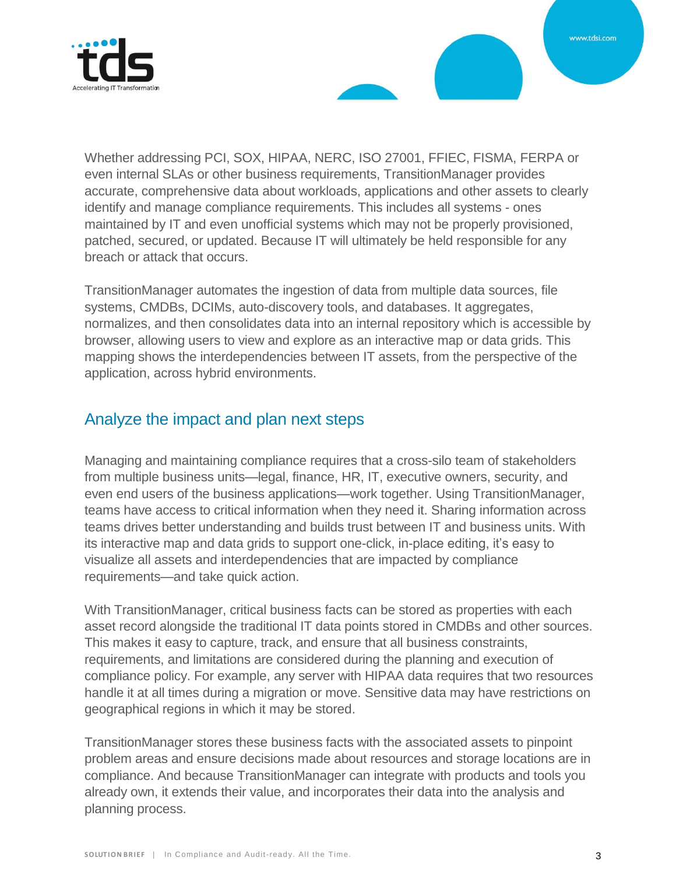

Whether addressing PCI, SOX, HIPAA, NERC, ISO 27001, FFIEC, FISMA, FERPA or even internal SLAs or other business requirements, TransitionManager provides accurate, comprehensive data about workloads, applications and other assets to clearly identify and manage compliance requirements. This includes all systems - ones maintained by IT and even unofficial systems which may not be properly provisioned, patched, secured, or updated. Because IT will ultimately be held responsible for any breach or attack that occurs.

TransitionManager automates the ingestion of data from multiple data sources, file systems, CMDBs, DCIMs, auto-discovery tools, and databases. It aggregates, normalizes, and then consolidates data into an internal repository which is accessible by browser, allowing users to view and explore as an interactive map or data grids. This mapping shows the interdependencies between IT assets, from the perspective of the application, across hybrid environments.

#### Analyze the impact and plan next steps

Managing and maintaining compliance requires that a cross-silo team of stakeholders from multiple business units—legal, finance, HR, IT, executive owners, security, and even end users of the business applications—work together. Using TransitionManager, teams have access to critical information when they need it. Sharing information across teams drives better understanding and builds trust between IT and business units. With its interactive map and data grids to support one-click, in-place editing, it's easy to visualize all assets and interdependencies that are impacted by compliance requirements—and take quick action.

With TransitionManager, critical business facts can be stored as properties with each asset record alongside the traditional IT data points stored in CMDBs and other sources. This makes it easy to capture, track, and ensure that all business constraints, requirements, and limitations are considered during the planning and execution of compliance policy. For example, any server with HIPAA data requires that two resources handle it at all times during a migration or move. Sensitive data may have restrictions on geographical regions in which it may be stored.

TransitionManager stores these business facts with the associated assets to pinpoint problem areas and ensure decisions made about resources and storage locations are in compliance. And because TransitionManager can integrate with products and tools you already own, it extends their value, and incorporates their data into the analysis and planning process.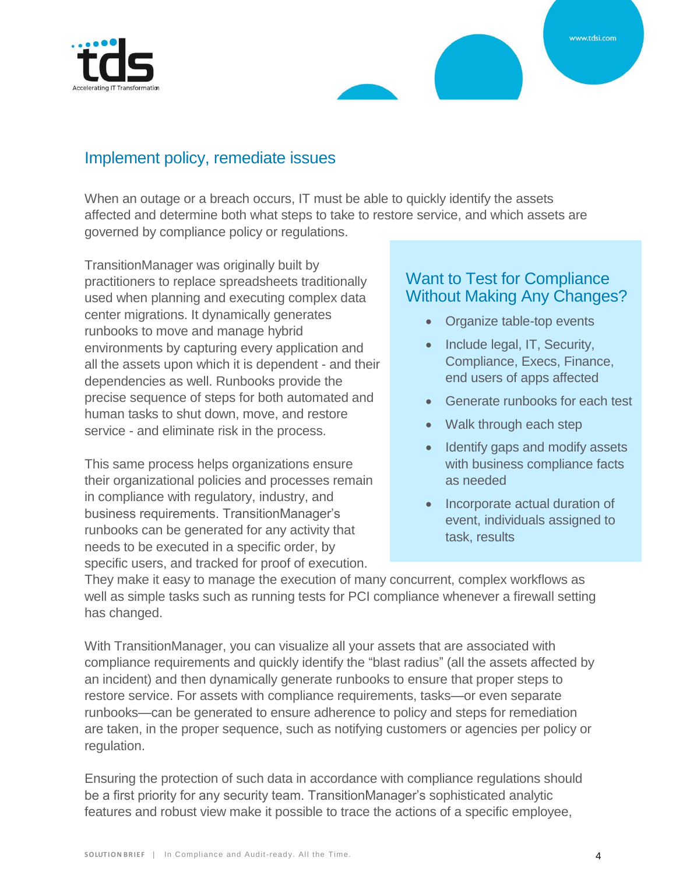



#### Implement policy, remediate issues

When an outage or a breach occurs, IT must be able to quickly identify the assets affected and determine both what steps to take to restore service, and which assets are governed by compliance policy or regulations.

TransitionManager was originally built by practitioners to replace spreadsheets traditionally used when planning and executing complex data center migrations. It dynamically generates runbooks to move and manage hybrid environments by capturing every application and all the assets upon which it is dependent - and their dependencies as well. Runbooks provide the precise sequence of steps for both automated and human tasks to shut down, move, and restore service - and eliminate risk in the process.

This same process helps organizations ensure their organizational policies and processes remain in compliance with regulatory, industry, and business requirements. TransitionManager's runbooks can be generated for any activity that needs to be executed in a specific order, by specific users, and tracked for proof of execution.

#### Want to Test for Compliance Without Making Any Changes?

- Organize table-top events
- Include legal, IT, Security, Compliance, Execs, Finance, end users of apps affected
- Generate runbooks for each test
- Walk through each step
- Identify gaps and modify assets with business compliance facts as needed
- Incorporate actual duration of event, individuals assigned to task, results

They make it easy to manage the execution of many concurrent, complex workflows as well as simple tasks such as running tests for PCI compliance whenever a firewall setting has changed.

With TransitionManager, you can visualize all your assets that are associated with compliance requirements and quickly identify the "blast radius" (all the assets affected by an incident) and then dynamically generate runbooks to ensure that proper steps to restore service. For assets with compliance requirements, tasks—or even separate runbooks—can be generated to ensure adherence to policy and steps for remediation are taken, in the proper sequence, such as notifying customers or agencies per policy or regulation.

Ensuring the protection of such data in accordance with compliance regulations should be a first priority for any security team. TransitionManager's sophisticated analytic features and robust view make it possible to trace the actions of a specific employee,